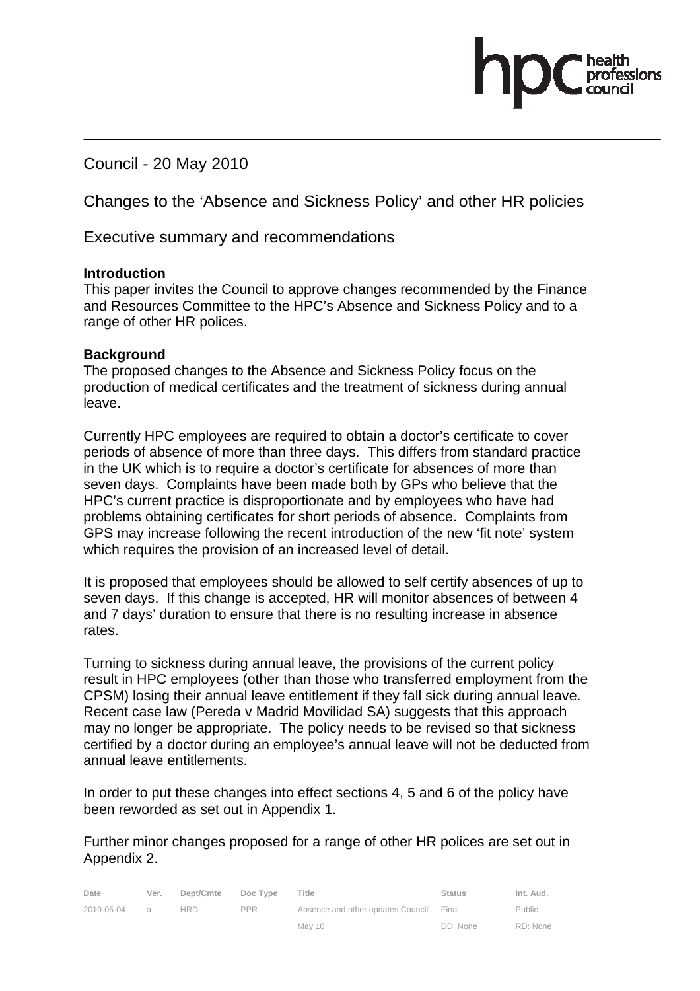Council - 20 May 2010

Changes to the 'Absence and Sickness Policy' and other HR policies

Executive summary and recommendations

### **Introduction**

This paper invites the Council to approve changes recommended by the Finance and Resources Committee to the HPC's Absence and Sickness Policy and to a range of other HR polices.

### **Background**

The proposed changes to the Absence and Sickness Policy focus on the production of medical certificates and the treatment of sickness during annual leave.

Currently HPC employees are required to obtain a doctor's certificate to cover periods of absence of more than three days. This differs from standard practice in the UK which is to require a doctor's certificate for absences of more than seven days. Complaints have been made both by GPs who believe that the HPC's current practice is disproportionate and by employees who have had problems obtaining certificates for short periods of absence. Complaints from GPS may increase following the recent introduction of the new 'fit note' system which requires the provision of an increased level of detail.

It is proposed that employees should be allowed to self certify absences of up to seven days. If this change is accepted, HR will monitor absences of between 4 and 7 days' duration to ensure that there is no resulting increase in absence rates.

Turning to sickness during annual leave, the provisions of the current policy result in HPC employees (other than those who transferred employment from the CPSM) losing their annual leave entitlement if they fall sick during annual leave. Recent case law (Pereda v Madrid Movilidad SA) suggests that this approach may no longer be appropriate. The policy needs to be revised so that sickness certified by a doctor during an employee's annual leave will not be deducted from annual leave entitlements.

In order to put these changes into effect sections 4, 5 and 6 of the policy have been reworded as set out in Appendix 1.

Further minor changes proposed for a range of other HR polices are set out in Appendix 2.

| Date       | Ver.     | Dept/Cmte | Doc Type   | Title                                   | <b>Status</b> | Int. Aud.     |
|------------|----------|-----------|------------|-----------------------------------------|---------------|---------------|
| 2010-05-04 | $\alpha$ | HRD       | <b>PPR</b> | Absence and other updates Council Final |               | <b>Public</b> |
|            |          |           |            | May 10                                  | DD: None      | RD: None      |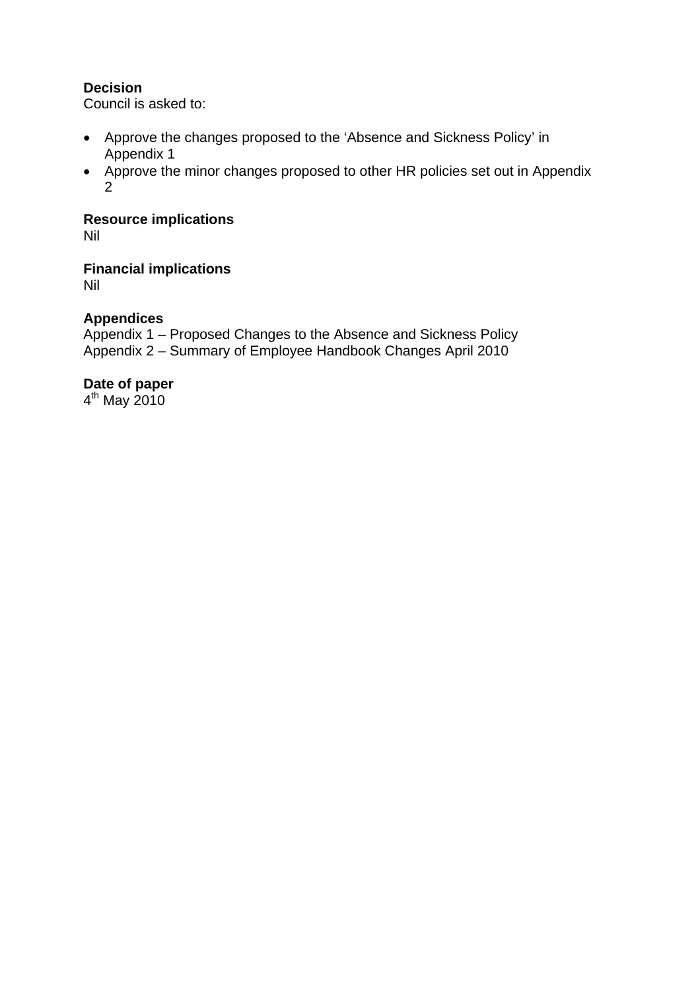### **Decision**

Council is asked to:

- Approve the changes proposed to the 'Absence and Sickness Policy' in Appendix 1
- Approve the minor changes proposed to other HR policies set out in Appendix 2

**Resource implications** 

Nil

**Financial implications** 

Nil

## **Appendices**

Appendix 1 – Proposed Changes to the Absence and Sickness Policy Appendix 2 – Summary of Employee Handbook Changes April 2010

### **Date of paper**

4th May 2010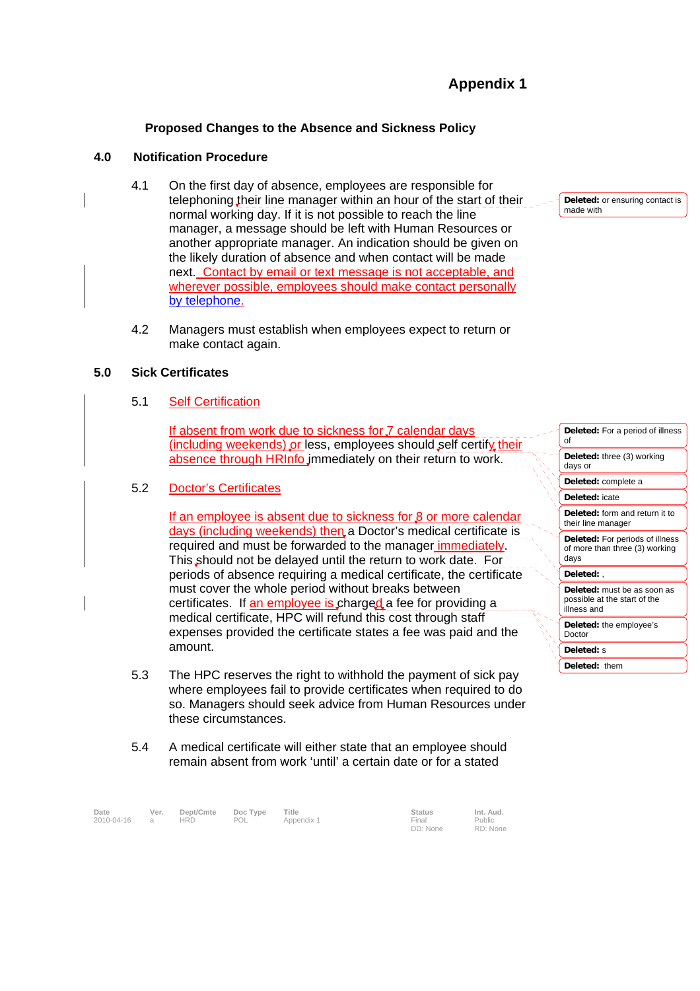# **Appendix 1**

### **Proposed Changes to the Absence and Sickness Policy**

#### **4.0 Notification Procedure**

- 4.1 On the first day of absence, employees are responsible for telephoning their line manager within an hour of the start of their normal working day. If it is not possible to reach the line manager, a message should be left with Human Resources or another appropriate manager. An indication should be given on the likely duration of absence and when contact will be made next. Contact by email or text message is not acceptable, and wherever possible, employees should make contact personally by telephone.
- 4.2 Managers must establish when employees expect to return or make contact again.

#### **5.0 Sick Certificates**

#### 5.1 Self Certification

If absent from work due to sickness for  *calendar days* (including weekends) or less, employees should self certify their absence through HRInfo immediately on their return to work.

#### 5.2 Doctor's Certificates

If an employee is absent due to sickness for  $\beta$  or more calendar days (including weekends) then a Doctor's medical certificate is required and must be forwarded to the manager immediately. This should not be delayed until the return to work date. For periods of absence requiring a medical certificate, the certificate must cover the whole period without breaks between certificates. If an employee is charged a fee for providing a medical certificate, HPC will refund this cost through staff expenses provided the certificate states a fee was paid and the amount.

- 5.3 The HPC reserves the right to withhold the payment of sick pay where employees fail to provide certificates when required to do so. Managers should seek advice from Human Resources under these circumstances.
- 5.4 A medical certificate will either state that an employee should remain absent from work 'until' a certain date or for a stated

| Date         | Ver. | Dept/Cmte  | Doc Type | Title      | <b>Status</b> | Int. Aud. |
|--------------|------|------------|----------|------------|---------------|-----------|
| 2010-04-16 a |      | <b>HRD</b> | POL      | Appendix 1 | Final         | Public    |
|              |      |            |          |            | DD: None      | RD: None  |

**Deleted:** or ensuring contact is made with

**Deleted:** For a period of illness of **Deleted:** three (3) working days or **Deleted:** complete a **Deleted:** icate **Deleted:** form and return it to their line manager **Deleted:** For periods of illness of more than three (3) working days **Deleted:** , **Deleted:** must be as soon as possible at the start of the illness and **Deleted:** the employee's Doctor **Deleted:** s **Deleted:** them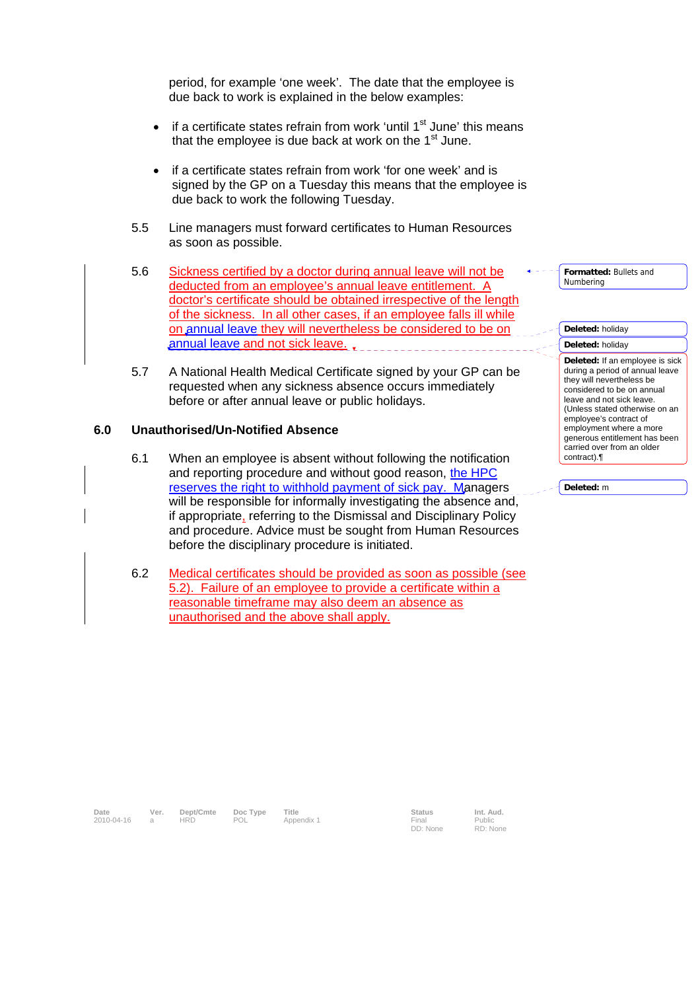period, for example 'one week'. The date that the employee is due back to work is explained in the below examples:

- if a certificate states refrain from work 'until  $1<sup>st</sup>$  June' this means that the employee is due back at work on the  $1<sup>st</sup>$  June.
- if a certificate states refrain from work 'for one week' and is signed by the GP on a Tuesday this means that the employee is due back to work the following Tuesday.
- 5.5 Line managers must forward certificates to Human Resources as soon as possible.
- 5.6 Sickness certified by a doctor during annual leave will not be deducted from an employee's annual leave entitlement. A doctor's certificate should be obtained irrespective of the length of the sickness. In all other cases, if an employee falls ill while on annual leave they will nevertheless be considered to be on annual leave and not sick leave.
- 5.7 A National Health Medical Certificate signed by your GP can be requested when any sickness absence occurs immediately before or after annual leave or public holidays.

#### **6.0 Unauthorised/Un-Notified Absence**

- 6.1 When an employee is absent without following the notification and reporting procedure and without good reason, the HPC reserves the right to withhold payment of sick pay. Managers will be responsible for informally investigating the absence and, if appropriate, referring to the Dismissal and Disciplinary Policy and procedure. Advice must be sought from Human Resources before the disciplinary procedure is initiated.
- 6.2 Medical certificates should be provided as soon as possible (see 5.2). Failure of an employee to provide a certificate within a reasonable timeframe may also deem an absence as unauthorised and the above shall apply.

**Formatted:** Bullets and Numbering

#### **Deleted:** holiday **Deleted:** holiday

**Deleted:** If an employee is sick during a period of annual leave they will nevertheless be considered to be on annual leave and not sick leave. (Unless stated otherwise on an employee's contract of employment where a more generous entitlement has been carried over from an older contract).¶

**Deleted:** m

Date Ver. Dept/Cmte Doc Type Title **Status** Status Int. Aud.

2010-04-16 a HRD POL Appendix 1 Final

DD: None

Public RD: None